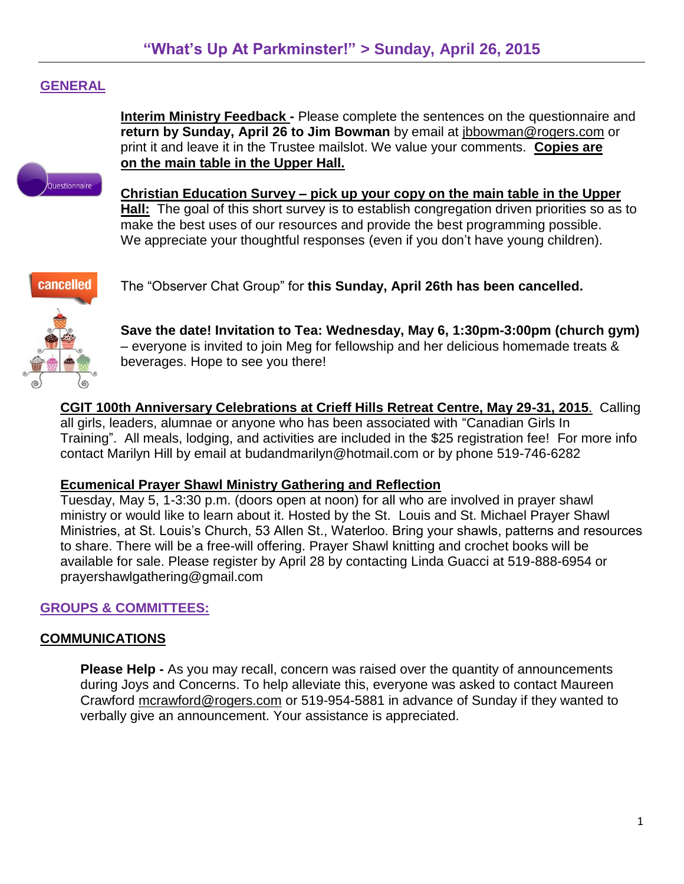# **GENERAL**

**Interim Ministry Feedback -** Please complete the sentences on the questionnaire and **return by Sunday, April 26 to Jim Bowman** by email at [jbbowman@rogers.com](mailto:jbbowman@rogers.com) or print it and leave it in the Trustee mailslot. We value your comments. **Copies are on the main table in the Upper Hall.**



**Christian Education Survey – pick up your copy on the main table in the Upper Hall:** The goal of this short survey is to establish congregation driven priorities so as to make the best uses of our resources and provide the best programming possible.

We appreciate your thoughtful responses (even if you don't have young children).



The "Observer Chat Group" for **this Sunday, April 26th has been cancelled.**

**Save the date! Invitation to Tea: Wednesday, May 6, 1:30pm-3:00pm (church gym)** – everyone is invited to join Meg for fellowship and her delicious homemade treats & beverages. Hope to see you there!

**CGIT 100th Anniversary Celebrations at Crieff Hills Retreat Centre, May 29-31, 2015**. Calling all girls, leaders, alumnae or anyone who has been associated with "Canadian Girls In Training". All meals, lodging, and activities are included in the \$25 registration fee! For more info contact Marilyn Hill by email at [budandmarilyn@hotmail.com](mailto:budandmarilyn@hotmail.com) or by phone 519-746-6282

# **Ecumenical Prayer Shawl Ministry Gathering and Reflection**

Tuesday, May 5, 1-3:30 p.m. (doors open at noon) for all who are involved in prayer shawl ministry or would like to learn about it. Hosted by the St. Louis and St. Michael Prayer Shawl Ministries, at St. Louis's Church, 53 Allen St., Waterloo. Bring your shawls, patterns and resources to share. There will be a free-will offering. Prayer Shawl knitting and crochet books will be available for sale. Please register by April 28 by contacting Linda Guacci at 519-888-6954 or [prayershawlgathering@gmail.com](mailto:prayershawlgathering@gmail.com)

# **GROUPS & COMMITTEES:**

# **COMMUNICATIONS**

**Please Help -** As you may recall, concern was raised over the quantity of announcements during Joys and Concerns. To help alleviate this, everyone was asked to contact Maureen Crawford [mcrawford@rogers.com](mailto:mcrawford@rogers.com) or 519-954-5881 in advance of Sunday if they wanted to verbally give an announcement. Your assistance is appreciated.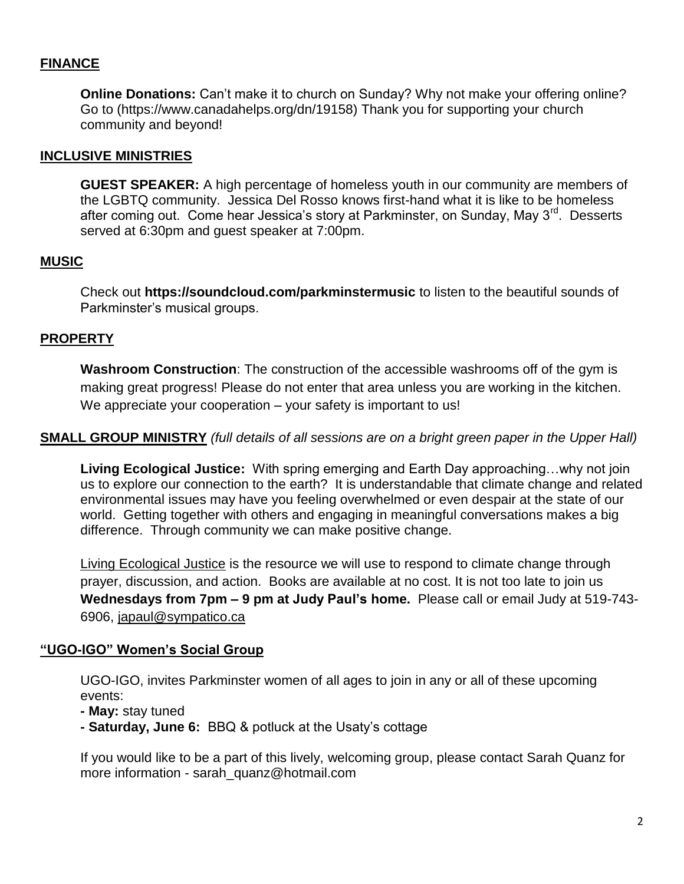# **FINANCE**

**Online Donations:** Can't make it to church on Sunday? Why not make your offering online? Go to [\(https://www.canadahelps.org/dn/19158\)](https://www.canadahelps.org/dn/19158%0d) Thank you for supporting your church community and beyond!

#### **INCLUSIVE MINISTRIES**

**GUEST SPEAKER:** A high percentage of homeless youth in our community are members of the LGBTQ community. Jessica Del Rosso knows first-hand what it is like to be homeless after coming out. Come hear Jessica's story at Parkminster, on Sunday, May 3<sup>rd</sup>. Desserts served at 6:30pm and guest speaker at 7:00pm.

### **MUSIC**

Check out **<https://soundcloud.com/parkminstermusic>** to listen to the beautiful sounds of Parkminster's musical groups.

### **PROPERTY**

**Washroom Construction**: The construction of the accessible washrooms off of the gym is making great progress! Please do not enter that area unless you are working in the kitchen. We appreciate your cooperation – your safety is important to us!

#### **SMALL GROUP MINISTRY** *(full details of all sessions are on a bright green paper in the Upper Hall)*

**Living Ecological Justice:** With spring emerging and Earth Day approaching…why not join us to explore our connection to the earth? It is understandable that climate change and related environmental issues may have you feeling overwhelmed or even despair at the state of our world. Getting together with others and engaging in meaningful conversations makes a big difference. Through community we can make positive change.

Living Ecological Justice is the resource we will use to respond to climate change through prayer, discussion, and action. Books are available at no cost. It is not too late to join us **Wednesdays from 7pm – 9 pm at Judy Paul's home.** Please call or email Judy at 519-743- 6906, [japaul@sympatico.ca](mailto:japaul@sympatico.ca)

#### **"UGO-IGO" Women's Social Group**

UGO-IGO, invites Parkminster women of all ages to join in any or all of these upcoming events:

**- May:** stay tuned

**- Saturday, June 6:** BBQ & potluck at the Usaty's cottage

If you would like to be a part of this lively, welcoming group, please contact Sarah Quanz for more information - [sarah\\_quanz@hotmail.com](mailto:sarah_quanz@hotmail.com)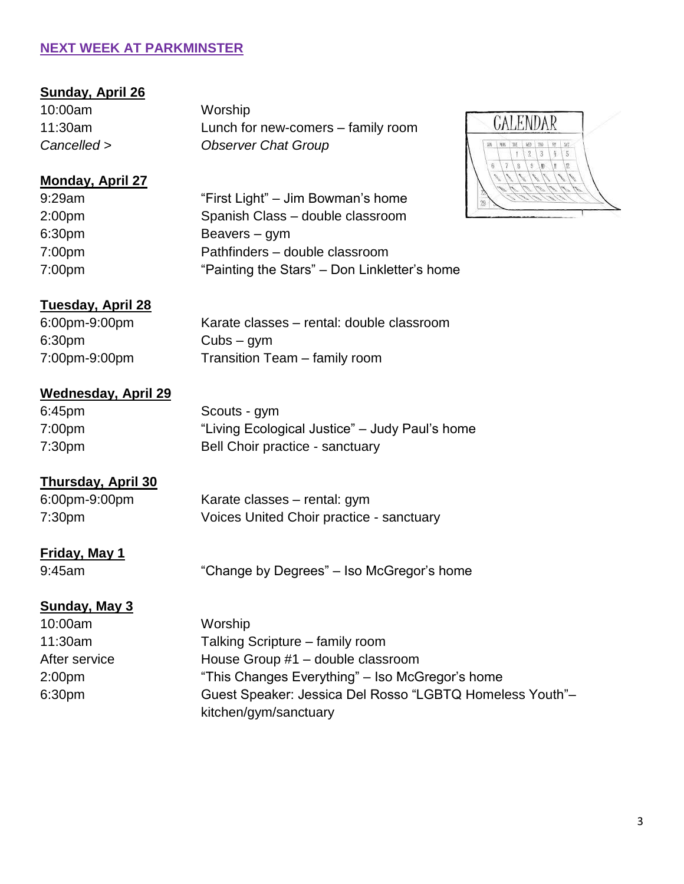# **NEXT WEEK AT PARKMINSTER**

### **Sunday, April 26**

10:00am Worship

11:30am Lunch for new-comers – family room *Cancelled > Observer Chat Group* 

# **Monday, April 27**

9:29am "First Light" – Jim Bowman's home 2:00pm Spanish Class – double classroom 6:30pm Beavers – gym 7:00pm Pathfinders – double classroom 7:00pm "Painting the Stars" – Don Linkletter's home"



### **Tuesday, April 28**

6:30pm Cubs – gym

6:00pm-9:00pm Karate classes – rental: double classroom 7:00pm-9:00pm Transition Team – family room

# **Wednesday, April 29**

6:45pm Scouts - gym 7:00pm "Living Ecological Justice" – Judy Paul's home 7:30pm Bell Choir practice - sanctuary

### **Thursday, April 30**

6:00pm-9:00pm Karate classes – rental: gym 7:30pm Voices United Choir practice - sanctuary

### **Friday, May 1**

9:45am "Change by Degrees" – Iso McGregor's home

#### **Sunday, May 3**

10:00am Worship 11:30am Talking Scripture – family room After service House Group #1 – double classroom 2:00pm "This Changes Everything" – Iso McGregor's home 6:30pm Guest Speaker: Jessica Del Rosso "LGBTQ Homeless Youth"– kitchen/gym/sanctuary